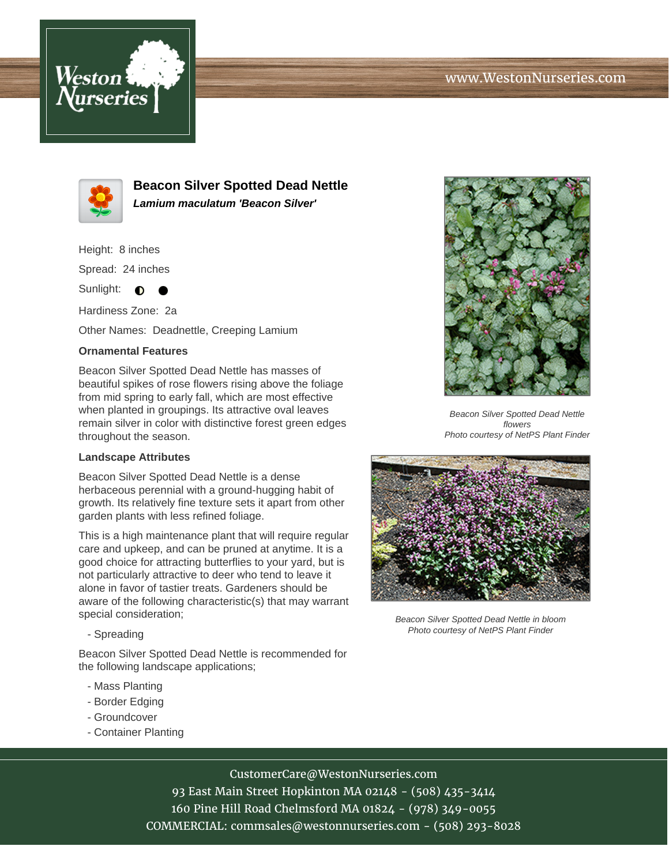



**Beacon Silver Spotted Dead Nettle Lamium maculatum 'Beacon Silver'**

Height: 8 inches

Spread: 24 inches

Sunlight:  $\bullet$ ●

Hardiness Zone: 2a

Other Names: Deadnettle, Creeping Lamium

## **Ornamental Features**

Beacon Silver Spotted Dead Nettle has masses of beautiful spikes of rose flowers rising above the foliage from mid spring to early fall, which are most effective when planted in groupings. Its attractive oval leaves remain silver in color with distinctive forest green edges throughout the season.

## **Landscape Attributes**

Beacon Silver Spotted Dead Nettle is a dense herbaceous perennial with a ground-hugging habit of growth. Its relatively fine texture sets it apart from other garden plants with less refined foliage.

This is a high maintenance plant that will require regular care and upkeep, and can be pruned at anytime. It is a good choice for attracting butterflies to your yard, but is not particularly attractive to deer who tend to leave it alone in favor of tastier treats. Gardeners should be aware of the following characteristic(s) that may warrant special consideration;

- Spreading

Beacon Silver Spotted Dead Nettle is recommended for the following landscape applications;

- Mass Planting
- Border Edging
- Groundcover
- Container Planting



Beacon Silver Spotted Dead Nettle flowers Photo courtesy of NetPS Plant Finder



Beacon Silver Spotted Dead Nettle in bloom Photo courtesy of NetPS Plant Finder

CustomerCare@WestonNurseries.com

93 East Main Street Hopkinton MA 02148 - (508) 435-3414 160 Pine Hill Road Chelmsford MA 01824 - (978) 349-0055 COMMERCIAL: commsales@westonnurseries.com - (508) 293-8028